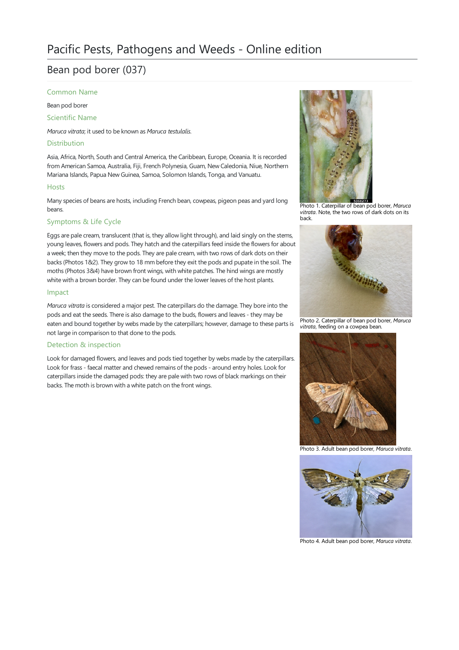# Bean pod borer (037)

# Common Name

Bean pod borer

Scientific Name

*Maruca vitrata*; it used to be known as *Maruca testulalis*.

# Distribution

Asia, Africa, North, South and Central America, the Caribbean, Europe, Oceania. It is recorded from American Samoa, Australia, Fiji, French Polynesia, Guam, New Caledonia, Niue, Northern Mariana Islands, Papua New Guinea, Samoa, Solomon Islands, Tonga, and Vanuatu.

#### Hosts

Many species of beans are hosts, including French bean, cowpeas, pigeon peas and yard long beans.

# Symptoms & Life Cycle

Eggs are pale cream, translucent (that is, they allow light through), and laid singly on the stems, young leaves, flowers and pods. They hatch and the caterpillars feed inside the flowers for about a week; then they move to the pods. They are pale cream, with two rows of dark dots on their backs (Photos 1&2). They grow to 18 mm before they exit the pods and pupate in the soil. The moths (Photos 3&4) have brown front wings, with white patches. The hind wings are mostly white with a brown border. They can be found under the lower leaves of the host plants.

# Impact

*Maruca vitrata* is considered a major pest. The caterpillars do the damage. They bore into the pods and eat the seeds. There is also damage to the buds, flowers and leaves - they may be eaten and bound together by webs made by the caterpillars; however, damage to these parts is not large in comparison to that done to the pods.

#### Detection & inspection

Look for damaged flowers, and leaves and pods tied together by webs made by the caterpillars. Look for frass - faecal matter and chewed remains of the pods - around entry holes. Look for caterpillars inside the damaged pods: they are pale with two rows of black markings on their backs. The moth is brown with a white patch on the front wings.



Photo 1. Caterpillar of bean pod borer, *Maruca vitrata*. Note, the two rows of dark dots on its back.



Photo 2. Caterpillar of bean pod borer, *Maruca* vitrata, feeding on a cowpea bean.



Photo 3. Adult bean pod borer, *Maruca vitrata*.



Photo 4. Adult bean pod borer, *Maruca vitrata*.